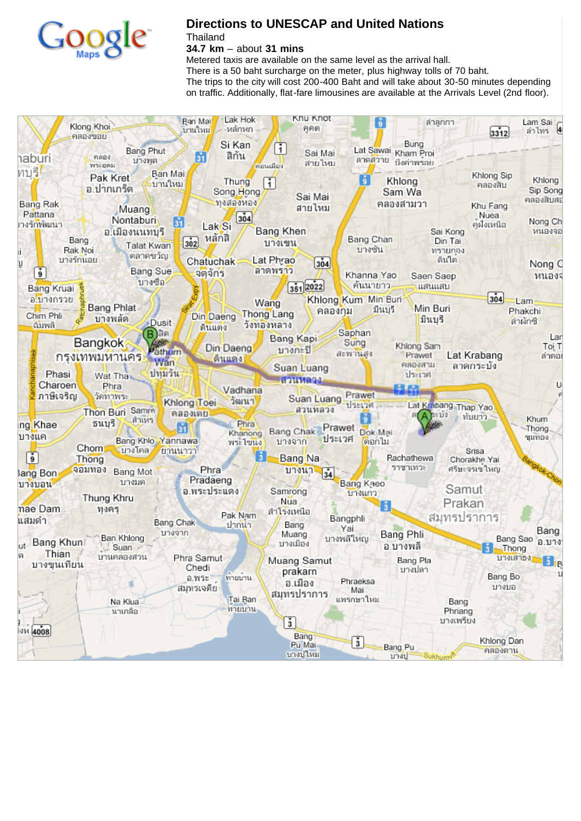

## **Directions to UNESCAP and United Nations**

**Thailand** 

**34.7 km** – about **31 mins**

Metered taxis are available on the same level as the arrival hall. There is a 50 baht surcharge on the meter, plus highway tolls of 70 baht. The trips to the city will cost 200-400 Baht and will take about 30-50 minutes depending on traffic. Additionally, flat-fare limousines are available at the Arrivals Level (2nd floor).